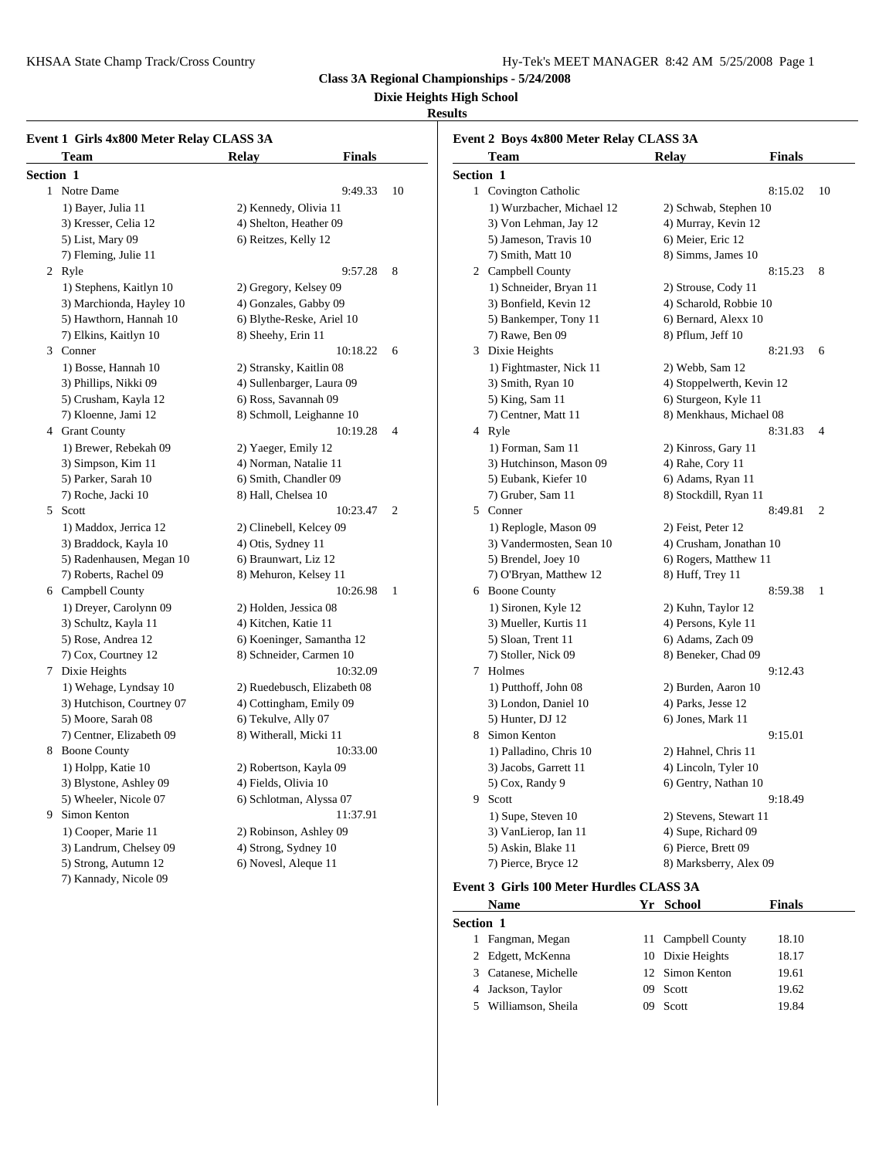### **Dixie Heights High School**

#### **Results**

| Event 1 Girls 4x800 Meter Relay CLASS 3A<br><b>Team</b> | <b>Relay</b>              | <b>Finals</b>               |                | Event 2 Boys 4x800 Meter Relay CLASS 3A<br>Team   | Relay                     | <b>Finals</b> |                |
|---------------------------------------------------------|---------------------------|-----------------------------|----------------|---------------------------------------------------|---------------------------|---------------|----------------|
| Section 1                                               |                           |                             |                |                                                   |                           |               |                |
| 1 Notre Dame                                            |                           | 9:49.33                     |                | Section 1                                         |                           | 8:15.02       | 10             |
|                                                         |                           |                             | 10             | 1 Covington Catholic<br>1) Wurzbacher, Michael 12 |                           |               |                |
| 1) Bayer, Julia 11                                      | 2) Kennedy, Olivia 11     |                             |                |                                                   | 2) Schwab, Stephen 10     |               |                |
| 3) Kresser, Celia 12                                    | 4) Shelton, Heather 09    |                             |                | 3) Von Lehman, Jay 12                             | 4) Murray, Kevin 12       |               |                |
| 5) List, Mary 09                                        | 6) Reitzes, Kelly 12      |                             |                | 5) Jameson, Travis 10                             | 6) Meier, Eric 12         |               |                |
| 7) Fleming, Julie 11                                    |                           |                             |                | 7) Smith, Matt 10                                 | 8) Simms, James 10        |               |                |
| 2 Ryle                                                  |                           | 9:57.28                     | 8              | 2 Campbell County                                 |                           | 8:15.23       | 8 <sup>8</sup> |
| 1) Stephens, Kaitlyn 10                                 | 2) Gregory, Kelsey 09     |                             |                | 1) Schneider, Bryan 11                            | 2) Strouse, Cody 11       |               |                |
| 3) Marchionda, Hayley 10                                | 4) Gonzales, Gabby 09     |                             |                | 3) Bonfield, Kevin 12                             | 4) Scharold, Robbie 10    |               |                |
| 5) Hawthorn, Hannah 10                                  | 6) Blythe-Reske, Ariel 10 |                             |                | 5) Bankemper, Tony 11                             | 6) Bernard, Alexx 10      |               |                |
| 7) Elkins, Kaitlyn 10                                   | 8) Sheehy, Erin 11        |                             |                | 7) Rawe, Ben 09                                   | 8) Pflum, Jeff 10         |               |                |
| 3 Conner                                                |                           | 10:18.22                    | 6              | 3 Dixie Heights                                   |                           | 8:21.93 6     |                |
| 1) Bosse, Hannah 10                                     | 2) Stransky, Kaitlin 08   |                             |                | 1) Fightmaster, Nick 11                           | 2) Webb, Sam 12           |               |                |
| 3) Phillips, Nikki 09                                   | 4) Sullenbarger, Laura 09 |                             |                | 3) Smith, Ryan 10                                 | 4) Stoppelwerth, Kevin 12 |               |                |
| 5) Crusham, Kayla 12                                    | 6) Ross, Savannah 09      |                             |                | 5) King, Sam 11                                   | 6) Sturgeon, Kyle 11      |               |                |
| 7) Kloenne, Jami 12                                     | 8) Schmoll, Leighanne 10  |                             |                | 7) Centner, Matt 11                               | 8) Menkhaus, Michael 08   |               |                |
| 4 Grant County                                          |                           | 10:19.28                    | $\overline{4}$ | 4 Ryle                                            |                           | 8:31.83       | $\overline{4}$ |
| 1) Brewer, Rebekah 09                                   | 2) Yaeger, Emily 12       |                             |                | 1) Forman, Sam 11                                 | 2) Kinross, Gary 11       |               |                |
| 3) Simpson, Kim 11                                      | 4) Norman, Natalie 11     |                             |                | 3) Hutchinson, Mason 09                           | 4) Rahe, Cory 11          |               |                |
| 5) Parker, Sarah 10                                     | 6) Smith, Chandler 09     |                             |                | 5) Eubank, Kiefer 10                              | 6) Adams, Ryan 11         |               |                |
| 7) Roche, Jacki 10                                      | 8) Hall, Chelsea 10       |                             |                | 7) Gruber, Sam 11                                 | 8) Stockdill, Ryan 11     |               |                |
| 5 Scott                                                 |                           | 10:23.47                    | 2              | 5 Conner                                          |                           | 8:49.81 2     |                |
| 1) Maddox, Jerrica 12                                   | 2) Clinebell, Kelcey 09   |                             |                | 1) Replogle, Mason 09                             | 2) Feist, Peter 12        |               |                |
| 3) Braddock, Kayla 10                                   | 4) Otis, Sydney 11        |                             |                | 3) Vandermosten, Sean 10                          | 4) Crusham, Jonathan 10   |               |                |
| 5) Radenhausen, Megan 10                                | 6) Braunwart, Liz 12      |                             |                | 5) Brendel, Joey 10                               | 6) Rogers, Matthew 11     |               |                |
| 7) Roberts, Rachel 09                                   | 8) Mehuron, Kelsey 11     |                             |                | 7) O'Bryan, Matthew 12                            | 8) Huff, Trey 11          |               |                |
| 6 Campbell County                                       |                           | 10:26.98                    | -1             | 6 Boone County                                    |                           | 8:59.38 1     |                |
| 1) Dreyer, Carolynn 09                                  | 2) Holden, Jessica 08     |                             |                | 1) Sironen, Kyle 12                               | 2) Kuhn, Taylor 12        |               |                |
| 3) Schultz, Kayla 11                                    | 4) Kitchen, Katie 11      |                             |                | 3) Mueller, Kurtis 11                             | 4) Persons, Kyle 11       |               |                |
| 5) Rose, Andrea 12                                      | 6) Koeninger, Samantha 12 |                             |                | 5) Sloan, Trent 11                                | 6) Adams, Zach 09         |               |                |
| 7) Cox, Courtney 12                                     | 8) Schneider, Carmen 10   |                             |                | 7) Stoller, Nick 09                               | 8) Beneker, Chad 09       |               |                |
| 7 Dixie Heights                                         |                           | 10:32.09                    |                | 7 Holmes                                          |                           | 9:12.43       |                |
| 1) Wehage, Lyndsay 10                                   |                           | 2) Ruedebusch, Elizabeth 08 |                | 1) Putthoff, John 08                              | 2) Burden, Aaron 10       |               |                |
| 3) Hutchison, Courtney 07                               | 4) Cottingham, Emily 09   |                             |                | 3) London, Daniel 10                              | 4) Parks, Jesse 12        |               |                |
| 5) Moore, Sarah 08                                      | 6) Tekulve, Ally 07       |                             |                | 5) Hunter, DJ 12                                  | 6) Jones, Mark 11         |               |                |
| 7) Centner, Elizabeth 09                                | 8) Witherall, Micki 11    |                             |                | 8 Simon Kenton                                    |                           | 9:15.01       |                |
| 8 Boone County                                          |                           | 10:33.00                    |                | 1) Palladino, Chris 10                            | 2) Hahnel, Chris 11       |               |                |
| 1) Holpp, Katie 10                                      | 2) Robertson, Kayla 09    |                             |                | 3) Jacobs, Garrett 11                             | 4) Lincoln, Tyler 10      |               |                |
| 3) Blystone, Ashley 09                                  | 4) Fields, Olivia 10      |                             |                | 5) Cox, Randy 9                                   | 6) Gentry, Nathan 10      |               |                |
| 5) Wheeler, Nicole 07                                   | 6) Schlotman, Alyssa 07   |                             |                | 9 Scott                                           |                           | 9:18.49       |                |
| 9 Simon Kenton                                          |                           | 11:37.91                    |                | 1) Supe, Steven 10                                | 2) Stevens, Stewart 11    |               |                |
| 1) Cooper, Marie 11                                     | 2) Robinson, Ashley 09    |                             |                | 3) VanLierop, Ian 11                              | 4) Supe, Richard 09       |               |                |
| 3) Landrum, Chelsey 09                                  | 4) Strong, Sydney 10      |                             |                | 5) Askin, Blake 11                                | 6) Pierce, Brett 09       |               |                |
| 5) Strong, Autumn 12                                    | 6) Novesl, Aleque 11      |                             |                | 7) Pierce, Bryce 12                               | 8) Marksberry, Alex 09    |               |                |
| 7) Kannady, Nicole 09                                   |                           |                             |                |                                                   |                           |               |                |
|                                                         |                           |                             |                | Event 3 Girls 100 Meter Hurdles CLASS 3A          |                           |               |                |

|                  | <b>Name</b>          |     | Yr School          | <b>Finals</b> |
|------------------|----------------------|-----|--------------------|---------------|
| <b>Section 1</b> |                      |     |                    |               |
|                  | Fangman, Megan       |     | 11 Campbell County | 18.10         |
|                  | 2 Edgett, McKenna    |     | 10 Dixie Heights   | 18.17         |
|                  | 3 Catanese, Michelle |     | 12 Simon Kenton    | 19.61         |
| 4                | Jackson, Taylor      | 09. | Scott              | 19.62         |
|                  | Williamson, Sheila   | 09  | Scott              | 19.84         |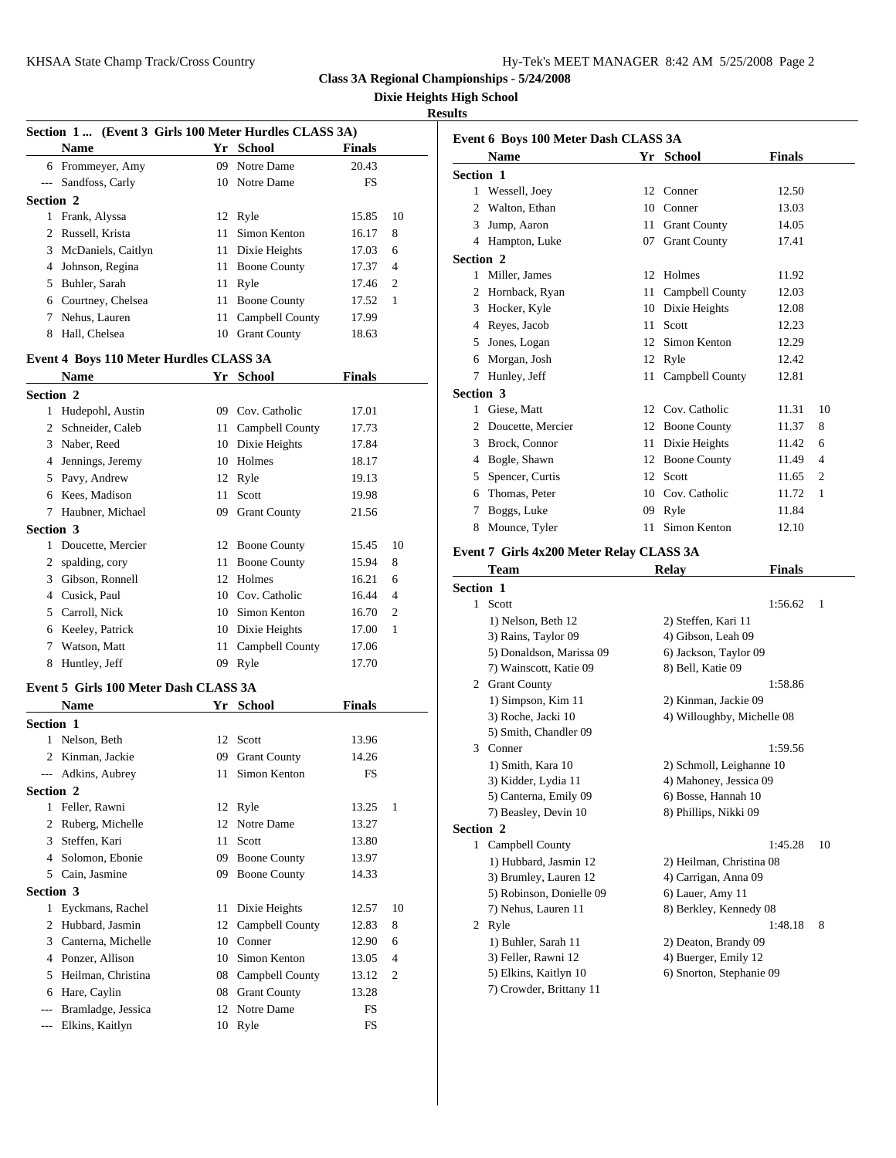**Dixie Heights High School**

#### **Results**

|                                                          | Section 1  (Event 3 Girls 100 Meter Hurdles CLASS 3A)<br><b>Name</b> |    | Yr School                        | <b>Finals</b> |                | Event 6 Bo                                                                                                                                    |
|----------------------------------------------------------|----------------------------------------------------------------------|----|----------------------------------|---------------|----------------|-----------------------------------------------------------------------------------------------------------------------------------------------|
|                                                          | 6 Frommeyer, Amy                                                     |    | 09 Notre Dame                    | 20.43         |                | Nam                                                                                                                                           |
|                                                          | --- Sandfoss, Carly                                                  |    | 10 Notre Dame                    | FS            |                | <b>Section 1</b>                                                                                                                              |
| Section 2                                                |                                                                      |    |                                  |               |                | 1 Wess                                                                                                                                        |
|                                                          | 1 Frank, Alyssa                                                      |    | 12 Ryle                          | 15.85         | 10             | 2<br>Walto                                                                                                                                    |
|                                                          | 2 Russell, Krista                                                    |    | 11 Simon Kenton                  | 16.17         | 8              | 3 Jump,                                                                                                                                       |
|                                                          | 3 McDaniels, Caitlyn                                                 |    | 11 Dixie Heights                 | 17.03         | 6              | 4 Hamp                                                                                                                                        |
|                                                          | 4 Johnson, Regina                                                    |    | 11 Boone County                  | 17.37         | $\overline{4}$ | Section 2                                                                                                                                     |
|                                                          | 5 Buhler, Sarah                                                      |    | 11 Ryle                          | 17.46         | $\overline{2}$ | 1 Miller                                                                                                                                      |
|                                                          | 6 Courtney, Chelsea                                                  |    | 11 Boone County                  | 17.52         | 1              | Hornb<br>2                                                                                                                                    |
|                                                          | 7 Nehus, Lauren                                                      |    | 11 Campbell County               | 17.99         |                | 3<br>Hock                                                                                                                                     |
|                                                          | 8 Hall, Chelsea                                                      |    |                                  |               |                | 4 Reyes                                                                                                                                       |
|                                                          |                                                                      |    | 10 Grant County                  | 18.63         |                | Jones<br>5                                                                                                                                    |
|                                                          | Event 4 Boys 110 Meter Hurdles CLASS 3A                              |    |                                  |               |                | Morg<br>6                                                                                                                                     |
|                                                          | Name                                                                 |    | Yr School                        | <b>Finals</b> |                | 7<br>Hunle                                                                                                                                    |
| Section 2                                                |                                                                      |    |                                  |               |                | <b>Section 3</b>                                                                                                                              |
|                                                          | 1 Hudepohl, Austin                                                   |    | 09 Cov. Catholic                 | 17.01         |                | Giese<br>$\mathbf{1}$                                                                                                                         |
|                                                          | 2 Schneider, Caleb                                                   |    | 11 Campbell County               | 17.73         |                | 2<br>Douce                                                                                                                                    |
|                                                          | 3 Naber, Reed                                                        |    | 10 Dixie Heights                 | 17.84         |                | 3 Brock                                                                                                                                       |
|                                                          | 4 Jennings, Jeremy                                                   |    | 10 Holmes                        | 18.17         |                | 4 Bogle                                                                                                                                       |
|                                                          | 5 Pavy, Andrew                                                       |    | 12 Ryle                          | 19.13         |                | Spenc<br>5                                                                                                                                    |
|                                                          | 6 Kees, Madison                                                      |    | 11 Scott                         | 19.98         |                | Thom<br>6                                                                                                                                     |
|                                                          | 7 Haubner, Michael                                                   |    | 09 Grant County                  | 21.56         |                | 7<br>Bogg:                                                                                                                                    |
| Section 3                                                |                                                                      |    |                                  |               |                | 8<br>Moun                                                                                                                                     |
|                                                          | 1 Doucette, Mercier                                                  |    | 12 Boone County                  | 15.45         | 10             |                                                                                                                                               |
|                                                          | 2 spalding, cory                                                     |    | 11 Boone County                  | 15.94         | 8              | Event 7 Gi                                                                                                                                    |
|                                                          | 3 Gibson, Ronnell                                                    |    | 12 Holmes                        | 16.21         | 6              | Tean                                                                                                                                          |
|                                                          | 4 Cusick, Paul                                                       |    | 10 Cov. Catholic                 | 16.44         | $\overline{4}$ | Section 1                                                                                                                                     |
|                                                          | 5 Carroll, Nick                                                      |    | 10 Simon Kenton                  | 16.70         | 2              | 1 Scott                                                                                                                                       |
|                                                          | 6 Keeley, Patrick                                                    |    | 10 Dixie Heights                 | 17.00         | 1              | 1) Ne                                                                                                                                         |
|                                                          | 7 Watson, Matt                                                       |    | 11 Campbell County               | 17.06         |                | 3) Ra                                                                                                                                         |
|                                                          |                                                                      |    |                                  |               |                | 5) Do                                                                                                                                         |
|                                                          | 8 Huntley, Jeff                                                      |    | 09 Ryle                          | 17.70         |                | 7) Wε                                                                                                                                         |
|                                                          | Event 5 Girls 100 Meter Dash CLASS 3A                                |    |                                  |               |                | 2 Grant                                                                                                                                       |
|                                                          | <b>Name</b>                                                          |    | Yr School                        | <b>Finals</b> |                | 1) Sir                                                                                                                                        |
|                                                          |                                                                      |    |                                  |               |                | 3) Ro                                                                                                                                         |
|                                                          |                                                                      |    |                                  |               |                |                                                                                                                                               |
|                                                          | 1 Nelson, Beth                                                       |    | 12 Scott                         | 13.96         |                |                                                                                                                                               |
|                                                          | 2 Kinman, Jackie                                                     |    | 09 Grant County                  | 14.26         |                | 3                                                                                                                                             |
|                                                          | --- Adkins, Aubrey                                                   | 11 | Simon Kenton                     | FS            |                | 5) Sm<br>Conne<br>1) Sn                                                                                                                       |
|                                                          |                                                                      |    |                                  |               |                |                                                                                                                                               |
|                                                          | 1 Feller, Rawni                                                      |    | 12 Ryle                          | 13.25         | 1              |                                                                                                                                               |
| 2                                                        | Ruberg, Michelle                                                     |    | 12 Notre Dame                    | 13.27         |                |                                                                                                                                               |
|                                                          | 3 Steffen, Kari                                                      | 11 | Scott                            | 13.80         |                |                                                                                                                                               |
|                                                          | 4 Solomon, Ebonie                                                    |    | 09 Boone County                  | 13.97         |                |                                                                                                                                               |
| 5                                                        | Cain, Jasmine                                                        |    | 09 Boone County                  | 14.33         |                |                                                                                                                                               |
|                                                          |                                                                      |    |                                  |               |                |                                                                                                                                               |
|                                                          |                                                                      |    |                                  |               |                |                                                                                                                                               |
|                                                          | 1 Eyckmans, Rachel                                                   |    | 11 Dixie Heights                 | 12.57         | 10             |                                                                                                                                               |
|                                                          | 2 Hubbard, Jasmin                                                    | 12 | Campbell County                  | 12.83         | 8              | 2                                                                                                                                             |
| 3                                                        | Canterna, Michelle                                                   |    | 10 Conner                        | 12.90         | 6              |                                                                                                                                               |
|                                                          | 4 Ponzer, Allison                                                    |    | 10 Simon Kenton                  | 13.05         | 4              |                                                                                                                                               |
| 5                                                        | Heilman, Christina                                                   |    | 08 Campbell County               | 13.12         | 2              |                                                                                                                                               |
| <b>Section 1</b><br>Section 2<br>Section 3<br>6<br>$---$ | Hare, Caylin<br>Bramladge, Jessica                                   |    | 08 Grant County<br>12 Notre Dame | 13.28<br>FS   |                | 3) Kio<br>5) Ca<br>7) Be:<br><b>Section 2</b><br>1 Camp<br>1) Hu<br>3) Bri<br>5) Ro<br>7) Ne<br>Ryle<br>$1)$ Bu<br>3) Fel<br>5) Elk<br>7) Cro |

|                  | Event 6 Boys 100 Meter Dash CLASS 3A<br><b>Name</b> | Yr School                  | <b>Finals</b> |    |
|------------------|-----------------------------------------------------|----------------------------|---------------|----|
| <b>Section 1</b> |                                                     |                            |               |    |
|                  | 1 Wessell, Joey                                     | 12 Conner                  | 12.50         |    |
|                  | 2 Walton, Ethan                                     | 10 Conner                  | 13.03         |    |
|                  | 3 Jump, Aaron                                       | 11 Grant County            | 14.05         |    |
|                  | 4 Hampton, Luke                                     | 07 Grant County            | 17.41         |    |
| <b>Section 2</b> |                                                     |                            |               |    |
|                  | 1 Miller, James                                     | 12 Holmes                  | 11.92         |    |
|                  | 2 Hornback, Ryan                                    | 11 Campbell County         | 12.03         |    |
|                  | 3 Hocker, Kyle                                      | 10 Dixie Heights           | 12.08         |    |
|                  | 4 Reyes, Jacob                                      | 11 Scott                   | 12.23         |    |
|                  | 5 Jones, Logan                                      | 12 Simon Kenton            | 12.29         |    |
|                  | 6 Morgan, Josh                                      | 12 Ryle                    | 12.42         |    |
|                  | 7 Hunley, Jeff                                      | 11 Campbell County         | 12.81         |    |
| <b>Section 3</b> |                                                     |                            |               |    |
|                  | 1 Giese, Matt                                       | 12 Cov. Catholic           | 11.31         | 10 |
|                  | 2 Doucette, Mercier                                 | 12 Boone County            | 11.37         | 8  |
|                  | 3 Brock, Connor                                     | 11 Dixie Heights           | 11.42         | 6  |
|                  | 4 Bogle, Shawn                                      | 12 Boone County            | 11.49         | 4  |
|                  | 5 Spencer, Curtis                                   | 12 Scott                   | 11.65         | 2  |
|                  | 6 Thomas, Peter                                     | 10 Cov. Catholic           | 11.72         | 1  |
| 7                | Boggs, Luke                                         | 09 Ryle                    | 11.84         |    |
|                  | 8 Mounce, Tyler                                     | 11 Simon Kenton            | 12.10         |    |
|                  | Event 7 Girls 4x200 Meter Relay CLASS 3A<br>Team    | Relay                      | <b>Finals</b> |    |
| <b>Section 1</b> |                                                     |                            |               |    |
|                  | 1 Scott                                             |                            | 1:56.62       | 1  |
|                  | 1) Nelson, Beth 12                                  | 2) Steffen, Kari 11        |               |    |
|                  | 3) Rains, Taylor 09                                 | 4) Gibson, Leah 09         |               |    |
|                  | 5) Donaldson, Marissa 09                            | 6) Jackson, Taylor 09      |               |    |
|                  | 7) Wainscott, Katie 09<br>2 Grant County            | 8) Bell, Katie 09          | 1:58.86       |    |
|                  | 1) Simpson, Kim 11                                  | 2) Kinman, Jackie 09       |               |    |
|                  | 3) Roche, Jacki 10                                  | 4) Willoughby, Michelle 08 |               |    |
|                  | 5) Smith, Chandler 09                               |                            |               |    |
|                  | 3 Conner                                            |                            | 1:59.56       |    |
|                  | 1) Smith, Kara 10                                   | 2) Schmoll, Leighanne 10   |               |    |
|                  | 3) Kidder, Lydia 11                                 | 4) Mahoney, Jessica 09     |               |    |
|                  | 5) Canterna, Emily 09                               | 6) Bosse, Hannah 10        |               |    |
|                  | 7) Beasley, Devin 10                                | 8) Phillips, Nikki 09      |               |    |
| <b>Section 2</b> |                                                     |                            |               |    |
|                  | 1 Campbell County                                   |                            | 1:45.28       | 10 |
|                  | 1) Hubbard, Jasmin 12                               | 2) Heilman, Christina 08   |               |    |
|                  | 3) Brumley, Lauren 12                               | 4) Carrigan, Anna 09       |               |    |
|                  | 5) Robinson, Donielle 09                            | 6) Lauer, Amy 11           |               |    |
|                  | 7) Nehus, Lauren 11                                 | 8) Berkley, Kennedy 08     |               |    |
|                  | 2 Ryle                                              |                            | 1:48.18       | 8  |
|                  | 1) Buhler, Sarah 11                                 | 2) Deaton, Brandy 09       |               |    |
|                  |                                                     | 4) Buerger, Emily 12       |               |    |
|                  | 3) Feller, Rawni 12                                 |                            |               |    |
|                  | 5) Elkins, Kaitlyn 10<br>7) Crowder, Brittany 11    | 6) Snorton, Stephanie 09   |               |    |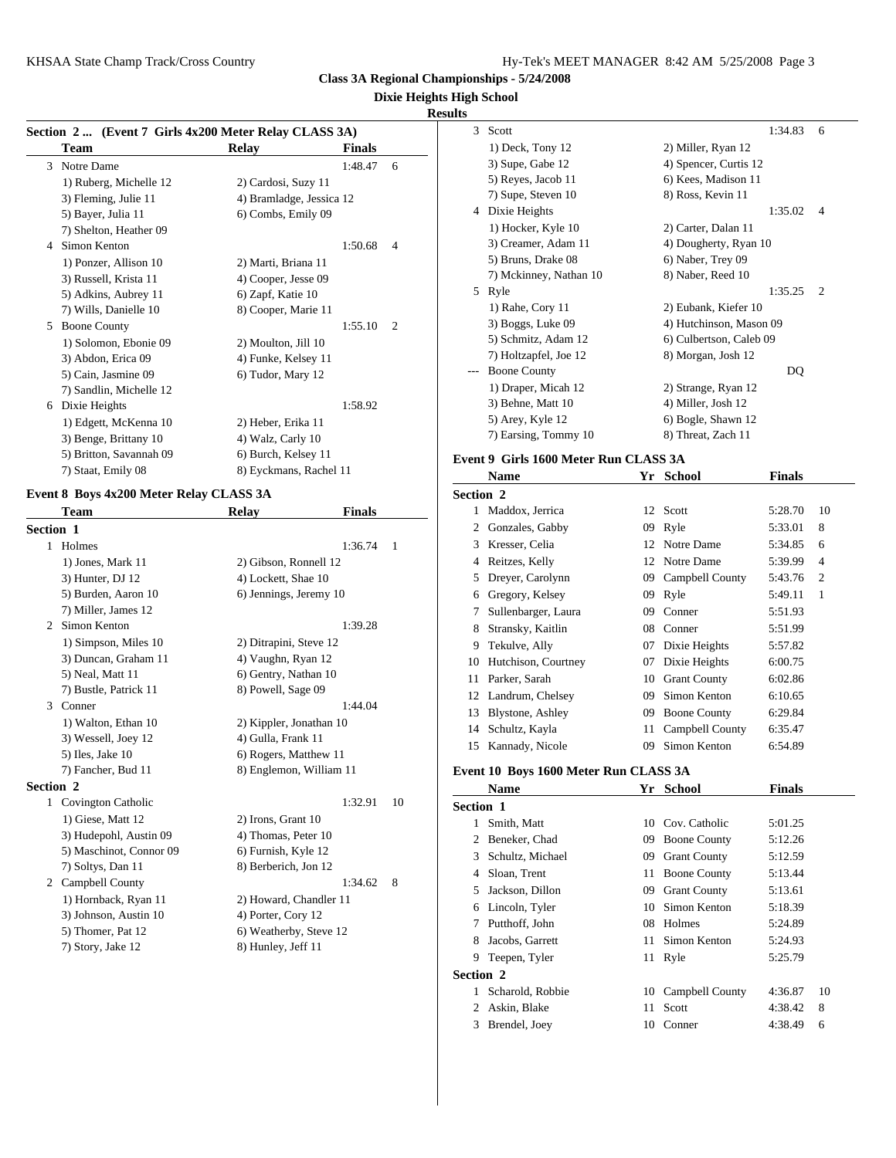**Class 3A Regional Championships - 5/24/2008**

#### **Dixie Heights High School**

#### **Results**

|  | Section 2  (Event 7 Girls 4x200 Meter Relay CLASS 3A) |
|--|-------------------------------------------------------|
|  |                                                       |

|   | $\sec(10012$ (EVEIR / GIFTS 4X200 METER REIAY CLASS 3A) |                          |               |                | ມບບເ       |
|---|---------------------------------------------------------|--------------------------|---------------|----------------|------------|
|   | Team                                                    | Relay                    | <b>Finals</b> |                | 1) D       |
| 3 | Notre Dame                                              |                          | 1:48.47       | 6              | $3)$ St    |
|   | 1) Ruberg, Michelle 12                                  | 2) Cardosi, Suzy 11      |               |                | 5) R       |
|   | 3) Fleming, Julie 11                                    | 4) Bramladge, Jessica 12 |               |                | $7)$ St    |
|   | 5) Bayer, Julia 11                                      | 6) Combs, Emily 09       |               |                | Dixi<br>4  |
|   | 7) Shelton, Heather 09                                  |                          |               |                | $1)$ H     |
| 4 | Simon Kenton                                            |                          | 1:50.68       | $\overline{4}$ | $3)$ C     |
|   | 1) Ponzer, Allison 10                                   | 2) Marti, Briana 11      |               |                | $5)$ B     |
|   | 3) Russell, Krista 11                                   | 4) Cooper, Jesse 09      |               |                | 7) N       |
|   | 5) Adkins, Aubrey 11                                    | 6) Zapf, Katie 10        |               |                | Ryle<br>5. |
|   | 7) Wills, Danielle 10                                   | 8) Cooper, Marie 11      |               |                | 1) R       |
| 5 | <b>Boone County</b>                                     |                          | 1:55.10       | 2              | $3)$ B     |
|   | 1) Solomon, Ebonie 09                                   | 2) Moulton, Jill 10      |               |                | $5)$ S     |
|   | 3) Abdon, Erica 09                                      | 4) Funke, Kelsey 11      |               |                | $7)$ H     |
|   | 5) Cain, Jasmine 09                                     | 6) Tudor, Mary 12        |               |                | <b>Boo</b> |
|   | 7) Sandlin, Michelle 12                                 |                          |               |                | 1) D       |
| 6 | Dixie Heights                                           |                          | 1:58.92       |                | $3)$ B     |
|   | 1) Edgett, McKenna 10                                   | 2) Heber, Erika 11       |               |                | 5) A       |
|   | 3) Benge, Brittany 10                                   | 4) Walz, Carly 10        |               |                | 7) E       |
|   | 5) Britton, Savannah 09                                 | 6) Burch, Kelsey 11      |               |                | Event 9 G  |
|   | 7) Staat, Emily 08                                      | 8) Eyckmans, Rachel 11   |               |                | Nan        |
|   |                                                         |                          |               |                |            |

## **Event 8 Boys 4x200 Meter Relay CLASS 3A**

|                  | Team                    | <b>Relay</b>            | <b>Finals</b> |              | 1          | Madd          |
|------------------|-------------------------|-------------------------|---------------|--------------|------------|---------------|
| Section 1        |                         |                         |               |              | 2          | Gonza         |
| 1                | Holmes                  |                         | 1:36.74       | $\mathbf{1}$ | 3          | <b>Kress</b>  |
|                  | 1) Jones, Mark 11       | 2) Gibson, Ronnell 12   |               |              | 4          | Reitz         |
|                  | 3) Hunter, DJ 12        | 4) Lockett, Shae 10     |               |              | 5          | Dreye         |
|                  | 5) Burden, Aaron 10     | 6) Jennings, Jeremy 10  |               |              | 6          | Grego         |
|                  | 7) Miller, James 12     |                         |               |              | 7          | Suller        |
| 2                | Simon Kenton            |                         | 1:39.28       |              | 8          | <b>Strans</b> |
|                  | 1) Simpson, Miles 10    | 2) Ditrapini, Steve 12  |               |              | 9          | Tekul         |
|                  | 3) Duncan, Graham 11    | 4) Vaughn, Ryan 12      |               |              | 10         | Hutch         |
|                  | 5) Neal, Matt 11        | 6) Gentry, Nathan 10    |               |              | 11         | Parke         |
|                  | 7) Bustle, Patrick 11   | 8) Powell, Sage 09      |               |              | 12         | Landr         |
| 3                | Conner                  |                         | 1:44.04       |              | 13         | <b>B</b> lyst |
|                  | 1) Walton, Ethan 10     | 2) Kippler, Jonathan 10 |               |              | 14         | Schul         |
|                  | 3) Wessell, Joey 12     | 4) Gulla, Frank 11      |               |              | 15         | Kanna         |
|                  | $5)$ Iles, Jake 10      | 6) Rogers, Matthew 11   |               |              |            |               |
|                  | 7) Fancher, Bud 11      | 8) Englemon, William 11 |               |              | Event 10 B |               |
| <b>Section 2</b> |                         |                         |               |              |            | <b>Nam</b>    |
|                  | 1 Covington Catholic    |                         | 1:32.91       | 10           | Section 1  |               |
|                  | 1) Giese, Matt 12       | 2) Irons, Grant 10      |               |              | 1          | Smith         |
|                  | 3) Hudepohl, Austin 09  | 4) Thomas, Peter 10     |               |              | 2          | Benel         |
|                  | 5) Maschinot, Connor 09 | 6) Furnish, Kyle 12     |               |              | 3          | Schul         |
|                  | 7) Soltys, Dan 11       | 8) Berberich, Jon 12    |               |              | 4          | Sloan         |
| $\overline{2}$   | Campbell County         |                         | 1:34.62       | 8            | 5          | <b>Jacks</b>  |
|                  | 1) Hornback, Ryan 11    | 2) Howard, Chandler 11  |               |              | 6          | Linco         |
|                  | 3) Johnson, Austin 10   | 4) Porter, Cory 12      |               |              | 7          | Putthe        |
|                  | 5) Thomer, Pat 12       | 6) Weatherby, Steve 12  |               |              |            |               |
|                  | 7) Story, Jake 12       | 8) Hunley, Jeff 11      |               |              | 8          | Jacob         |

| Š |                        |                         |                |
|---|------------------------|-------------------------|----------------|
| 3 | Scott                  | 1:34.83                 | 6              |
|   | 1) Deck, Tony 12       | 2) Miller, Ryan 12      |                |
|   | 3) Supe, Gabe 12       | 4) Spencer, Curtis 12   |                |
|   | 5) Reyes, Jacob 11     | 6) Kees, Madison 11     |                |
|   | 7) Supe, Steven 10     | 8) Ross, Kevin 11       |                |
| 4 | Dixie Heights          | 1:35.02                 | $\overline{4}$ |
|   | 1) Hocker, Kyle 10     | 2) Carter, Dalan 11     |                |
|   | 3) Creamer, Adam 11    | 4) Dougherty, Ryan 10   |                |
|   | 5) Bruns, Drake 08     | 6) Naber, Trey 09       |                |
|   | 7) Mckinney, Nathan 10 | 8) Naber, Reed 10       |                |
| 5 | Ryle                   | 1:35.25                 | 2              |
|   | 1) Rahe, Cory 11       | 2) Eubank, Kiefer 10    |                |
|   | 3) Boggs, Luke 09      | 4) Hutchinson, Mason 09 |                |
|   | 5) Schmitz, Adam 12    | 6) Culbertson, Caleb 09 |                |
|   | 7) Holtzapfel, Joe 12  | 8) Morgan, Josh 12      |                |
|   | <b>Boone County</b>    | DQ                      |                |
|   | 1) Draper, Micah 12    | 2) Strange, Ryan 12     |                |
|   | 3) Behne, Matt 10      | 4) Miller, Josh 12      |                |
|   | 5) Arey, Kyle 12       | 6) Bogle, Shawn 12      |                |
|   | 7) Earsing, Tommy 10   | 8) Threat, Zach 11      |                |

# **Event 9 Girls 1600 Meter Run CLASS 3A**

|                  | Name                | Yr | <b>School</b>       | <b>Finals</b> |                |
|------------------|---------------------|----|---------------------|---------------|----------------|
| <b>Section 2</b> |                     |    |                     |               |                |
|                  | Maddox, Jerrica     |    | 12 Scott            | 5:28.70       | 10             |
| 2                | Gonzales, Gabby     |    | 09 Ryle             | 5:33.01       | 8              |
| 3                | Kresser, Celia      |    | 12 Notre Dame       | 5:34.85       | 6              |
| 4                | Reitzes, Kelly      | 12 | Notre Dame          | 5:39.99       | $\overline{4}$ |
| 5                | Dreyer, Carolynn    | 09 | Campbell County     | 5:43.76       | $\overline{c}$ |
| 6                | Gregory, Kelsey     | 09 | Ryle                | 5:49.11       | 1              |
| 7                | Sullenbarger, Laura | 09 | Conner              | 5:51.93       |                |
| 8                | Stransky, Kaitlin   | 08 | Conner              | 5:51.99       |                |
| 9                | Tekulve, Ally       | 07 | Dixie Heights       | 5:57.82       |                |
| 10               | Hutchison, Courtney | 07 | Dixie Heights       | 6:00.75       |                |
| 11               | Parker, Sarah       | 10 | <b>Grant County</b> | 6:02.86       |                |
| 12               | Landrum, Chelsey    | 09 | Simon Kenton        | 6:10.65       |                |
| 13               | Blystone, Ashley    | 09 | <b>Boone County</b> | 6:29.84       |                |
| 14               | Schultz, Kayla      | 11 | Campbell County     | 6:35.47       |                |
| 15               | Kannady, Nicole     | 09 | Simon Kenton        | 6:54.89       |                |

#### **Event 10 Boys 1600 Meter Run CLASS 3A**

|                  | <b>Name</b>      |     | Yr School           | <b>Finals</b> |    |
|------------------|------------------|-----|---------------------|---------------|----|
| <b>Section 1</b> |                  |     |                     |               |    |
|                  | Smith, Matt      | 10. | Cov. Catholic       | 5:01.25       |    |
| 2                | Beneker, Chad    | 09  | <b>Boone County</b> | 5:12.26       |    |
| 3                | Schultz, Michael | 09  | <b>Grant County</b> | 5:12.59       |    |
| 4                | Sloan, Trent     | 11  | <b>Boone County</b> | 5:13.44       |    |
| 5                | Jackson, Dillon  | 09  | <b>Grant County</b> | 5:13.61       |    |
| 6                | Lincoln, Tyler   | 10  | Simon Kenton        | 5:18.39       |    |
| 7                | Putthoff, John   | 08  | Holmes              | 5:24.89       |    |
| 8                | Jacobs, Garrett  | 11  | Simon Kenton        | 5:24.93       |    |
| 9                | Teepen, Tyler    |     | 11 Ryle             | 5:25.79       |    |
| Section 2        |                  |     |                     |               |    |
|                  | Scharold, Robbie | 10  | Campbell County     | 4:36.87       | 10 |
| 2                | Askin, Blake     | 11  | Scott               | 4:38.42       | 8  |
| 3                | Brendel, Joey    | 10  | Conner              | 4:38.49       | 6  |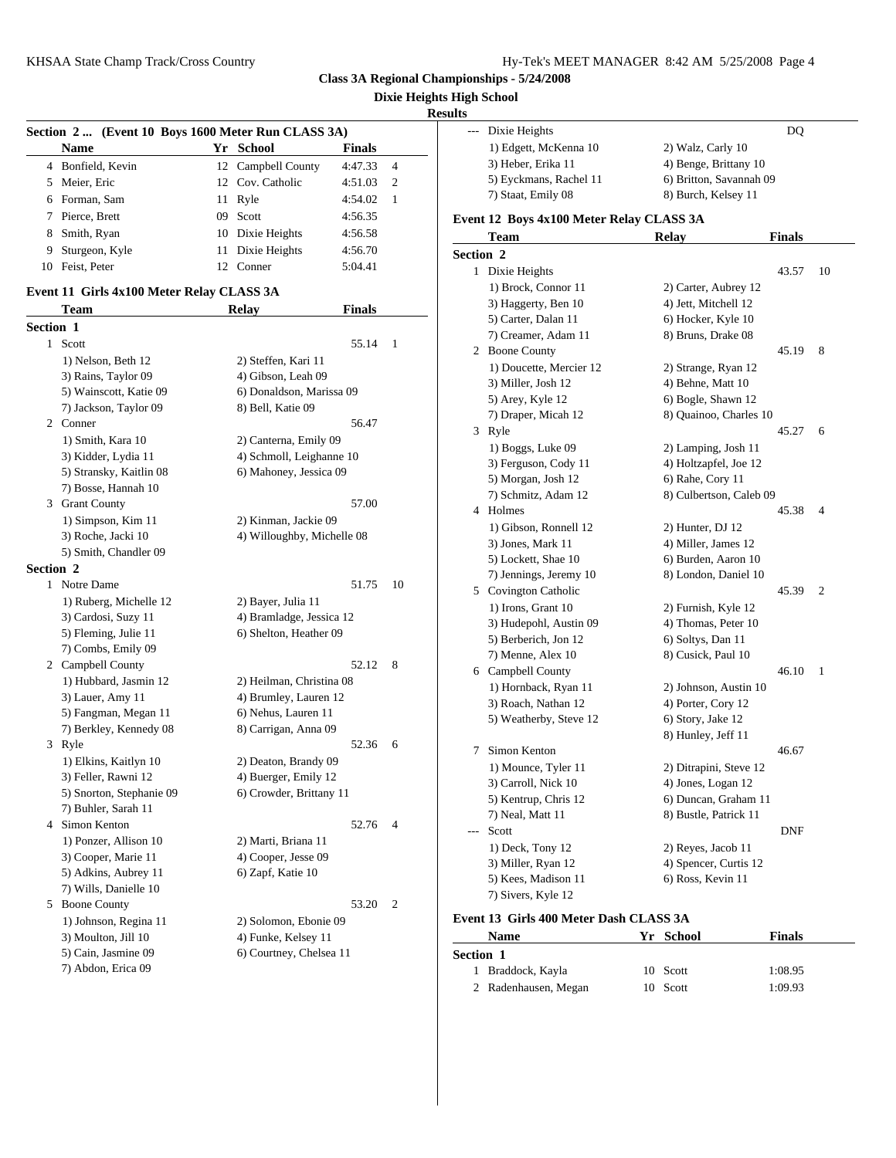**Dixie Heights High School**

#### **Results**

|           | Section 2  (Event 10 Boys 1600 Meter Run CLASS 3A) |    |                           |               |                             | Dixi            |
|-----------|----------------------------------------------------|----|---------------------------|---------------|-----------------------------|-----------------|
|           | <b>Name</b>                                        | Yr | School                    | <b>Finals</b> |                             | 1) E            |
|           | 4 Bonfield, Kevin                                  |    | 12 Campbell County        | 4:47.33       | $\overline{4}$              | $3)$ H          |
| 5         | Meier, Eric                                        | 12 | Cov. Catholic             | 4:51.03       | $\mathcal{D}_{\mathcal{L}}$ | 5) E            |
| 6         | Forman, Sam                                        |    | 11 Ryle                   | 4:54.02       | 1                           | $7)$ St         |
|           | Pierce, Brett                                      | 09 | Scott                     | 4:56.35       |                             | Event 12        |
| 8         | Smith, Ryan                                        |    | 10 Dixie Heights          | 4:56.58       |                             | Tea             |
| 9         | Sturgeon, Kyle                                     | 11 | Dixie Heights             | 4:56.70       |                             | Section 2       |
| 10        | Feist, Peter                                       |    | 12 Conner                 | 5:04.41       |                             | Dixi            |
|           | Event 11 Girls 4x100 Meter Relay CLASS 3A          |    |                           |               |                             | $1)$ B          |
|           | <b>Team</b>                                        |    | Relay                     | <b>Finals</b> |                             | $3)$ H          |
| Section 1 |                                                    |    |                           |               |                             | $5)$ C          |
| 1.        | Scott                                              |    |                           | 55.14         | 1                           | $7)$ C          |
|           | 1) Nelson, Beth 12                                 |    | 2) Steffen, Kari 11       |               |                             | <b>Boo</b><br>2 |
|           | 3) Rains Taylor 09                                 |    | $\Delta$ ) Gibson Leab 09 |               |                             | 1) D            |

| Section 1 |                          |                            |                | 7) Cre          |
|-----------|--------------------------|----------------------------|----------------|-----------------|
|           | 1 Scott                  | 55.14                      | 1              | 2 Boon          |
|           | 1) Nelson, Beth 12       | 2) Steffen, Kari 11        |                | $1)$ Do         |
|           | 3) Rains, Taylor 09      | 4) Gibson, Leah 09         |                | 3) Mi           |
|           | 5) Wainscott, Katie 09   | 6) Donaldson, Marissa 09   |                | $5)$ Aro        |
|           | 7) Jackson, Taylor 09    | 8) Bell, Katie 09          |                | 7) Dra          |
|           | 2 Conner                 | 56.47                      |                | Ryle<br>3       |
|           | 1) Smith, Kara 10        | 2) Canterna, Emily 09      |                |                 |
|           | 3) Kidder, Lydia 11      | 4) Schmoll, Leighanne 10   |                | $1)$ Bo         |
|           | 5) Stransky, Kaitlin 08  | 6) Mahoney, Jessica 09     |                | 3) Fer          |
|           | 7) Bosse, Hannah 10      |                            |                | 5) Mo<br>7) Sel |
|           | 3 Grant County           | 57.00                      |                | 4 Holm          |
|           | 1) Simpson, Kim 11       | 2) Kinman, Jackie 09       |                | $1)$ Gil        |
|           | 3) Roche, Jacki 10       | 4) Willoughby, Michelle 08 |                | 3) Jor          |
|           | 5) Smith, Chandler 09    |                            |                | $5)$ Lo         |
| Section 2 |                          |                            |                | 7) Jen          |
|           | 1 Notre Dame             | 51.75                      | 10             | 5<br>Covir      |
|           | 1) Ruberg, Michelle 12   | 2) Bayer, Julia 11         |                | 1) Iro          |
|           | 3) Cardosi, Suzy 11      | 4) Bramladge, Jessica 12   |                | 3) Hu           |
|           | 5) Fleming, Julie 11     | 6) Shelton, Heather 09     |                | 5) Bei          |
|           | 7) Combs, Emily 09       |                            |                | $7)$ Me         |
|           | 2 Campbell County        | 52.12                      | 8              | 6 Camp          |
|           | 1) Hubbard, Jasmin 12    | 2) Heilman, Christina 08   |                | $1)$ Ho         |
|           | 3) Lauer, Amy 11         | 4) Brumley, Lauren 12      |                | 3) Ro           |
|           | 5) Fangman, Megan 11     | 6) Nehus, Lauren 11        |                | 5) We           |
|           | 7) Berkley, Kennedy 08   | 8) Carrigan, Anna 09       |                |                 |
|           | 3 Ryle                   | 52.36                      | 6              | Simor<br>7      |
|           | 1) Elkins, Kaitlyn 10    | 2) Deaton, Brandy 09       |                | $1)$ Mo         |
|           | 3) Feller, Rawni 12      | 4) Buerger, Emily 12       |                | 3) Ca           |
|           | 5) Snorton, Stephanie 09 | 6) Crowder, Brittany 11    |                | 5) Ke           |
|           | 7) Buhler, Sarah 11      |                            |                | 7) Ne           |
| 4         | Simon Kenton             | 52.76                      | 4              | Scott           |
|           | 1) Ponzer, Allison 10    | 2) Marti, Briana 11        |                | 1) De           |
|           | 3) Cooper, Marie 11      | 4) Cooper, Jesse 09        |                | 3) Mi           |
|           | 5) Adkins, Aubrey 11     | 6) Zapf, Katie 10          |                | 5) Ke           |
|           | 7) Wills, Danielle 10    |                            |                | 7) Siv          |
| 5         | <b>Boone County</b>      | 53.20                      | $\overline{2}$ |                 |
|           | 1) Johnson, Regina 11    | 2) Solomon, Ebonie 09      |                | Event 13 G      |
|           | 3) Moulton, Jill 10      | 4) Funke, Kelsey 11        |                | Nam             |
|           | 5) Cain, Jasmine 09      | 6) Courtney, Chelsea 11    |                | Section 1       |

| 7) Abdon, Erica 09 |  |
|--------------------|--|

| --- | Dixie Heights          | DO                      |
|-----|------------------------|-------------------------|
|     | 1) Edgett, McKenna 10  | 2) Walz, Carly 10       |
|     | 3) Heber, Erika 11     | 4) Benge, Brittany 10   |
|     | 5) Eyckmans, Rachel 11 | 6) Britton, Savannah 09 |
|     | 7) Staat, Emily 08     | 8) Burch, Kelsey 11     |

#### **Team Relay Finals Section 2** 1 Dixie Heights 43.57 10 1) Brock, Connor 11 2) Carter, Aubrey 12 3) Haggerty, Ben 10 4) Jett, Mitchell 12 5) Carter, Dalan 11 6) Hocker, Kyle 10 7) Creamer, Adam 11 8) Bruns, Drake 08 2 Boone County 45.19 8 1) Doucette, Mercier 12 2) Strange, Ryan 12 3) Miller, Josh 12 4) Behne, Matt 10 5) Arey, Kyle 12 6) Bogle, Shawn 12 7) Draper, Micah 12 8) Quainoo, Charles 10 3 Ryle 45.27 6 1) Boggs, Luke 09 2) Lamping, Josh 11 3) Ferguson, Cody 11 4) Holtzapfel, Joe 12 5) Morgan, Josh 12 6) Rahe, Cory 11 7) Schmitz, Adam 12 8) Culbertson, Caleb 09 4 Holmes 45.38 4 1) Gibson, Ronnell 12 2) Hunter, DJ 12 3) Jones, Mark 11 4) Miller, James 12 5) Lockett, Shae 10 6) Burden, Aaron 10 7) Jennings, Jeremy 10 8) London, Daniel 10 5 Covington Catholic 45.39 2 1) Irons, Grant 10 2) Furnish, Kyle 12 3) Hudepohl, Austin 09 4) Thomas, Peter 10 5) Berberich, Jon 12 6) Soltys, Dan 11 7) Menne, Alex 10 8) Cusick, Paul 10 6 Campbell County 46.10 1 1) Hornback, Ryan 11 2) Johnson, Austin 10 3) Roach, Nathan 12 4) Porter, Cory 12 5) Weatherby, Steve 12 6) Story, Jake 12 8) Hunley, Jeff 11 7 Simon Kenton 46.67 1) Mounce, Tyler 11 2) Ditrapini, Steve 12 3) Carroll, Nick 10 4) Jones, Logan 12 5) Kentrup, Chris 12 6) Duncan, Graham 11 7) Neal, Matt 11 8) Bustle, Patrick 11 --- Scott DNF 1) Deck, Tony 12 2) Reyes, Jacob 11 3) Miller, Ryan 12 4) Spencer, Curtis 12 5) Kees, Madison 11 6) Ross, Kevin 11 7) Sivers, Kyle 12

#### **Event 13 Girls 400 Meter Dash CLASS 3A**

| Name                 | Yr School | <b>Finals</b> |  |
|----------------------|-----------|---------------|--|
| Section 1            |           |               |  |
| 1 Braddock, Kayla    | 10 Scott  | 1:08.95       |  |
| 2 Radenhausen, Megan | 10 Scott  | 1:09.93       |  |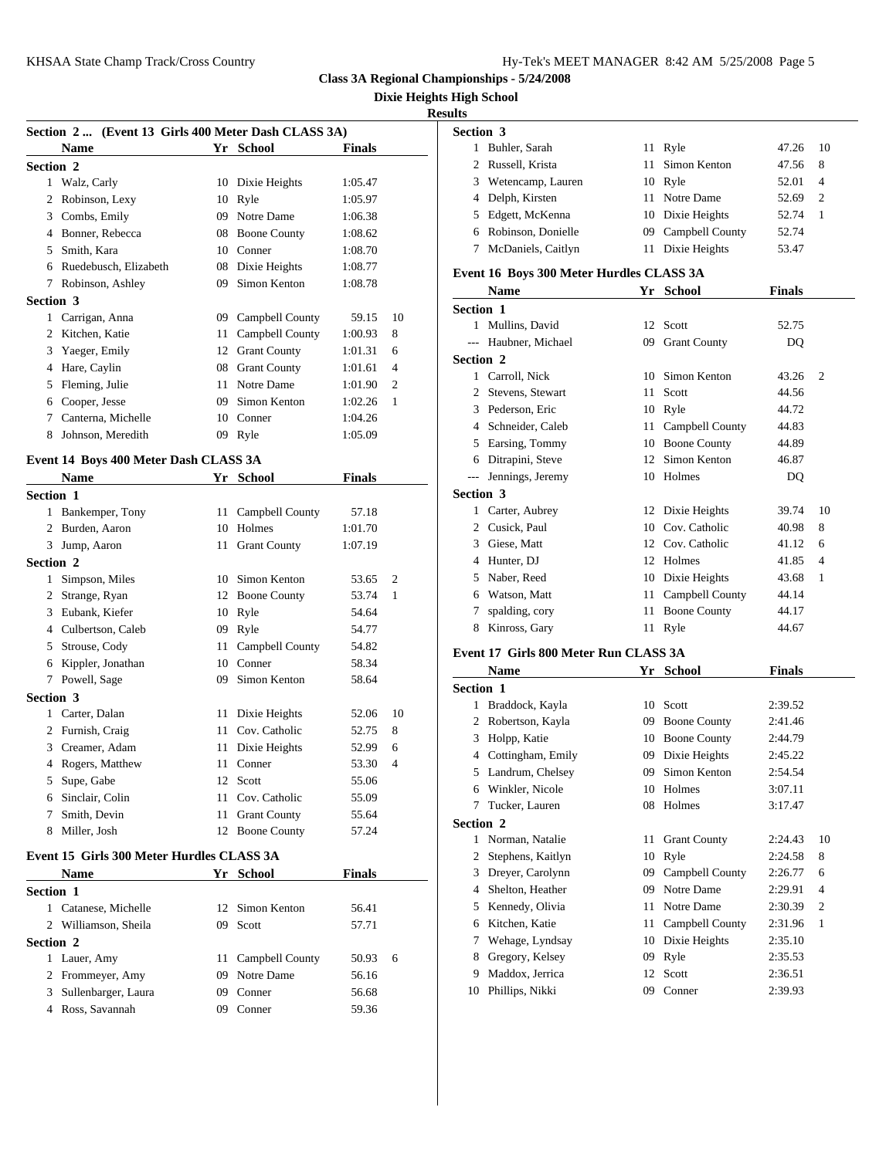**Dixie Heights High School**

#### **Results**

| Section 2  (Event 13 Girls 400 Meter Dash CLASS 3A) |                                       |  |                    | Section 3     |                          |                              |
|-----------------------------------------------------|---------------------------------------|--|--------------------|---------------|--------------------------|------------------------------|
|                                                     | <b>Name</b>                           |  | Yr School          | <b>Finals</b> |                          | 1<br><b>Buhle</b>            |
| <b>Section 2</b>                                    |                                       |  |                    |               |                          | $\overline{c}$<br>Russe      |
|                                                     | 1 Walz, Carly                         |  | 10 Dixie Heights   | 1:05.47       |                          | 3<br>Weter                   |
|                                                     | 2 Robinson, Lexy                      |  | 10 Ryle            | 1:05.97       |                          | 4 Delph                      |
|                                                     | 3 Combs, Emily                        |  | 09 Notre Dame      | 1:06.38       |                          | 5 Edget                      |
|                                                     | 4 Bonner, Rebecca                     |  | 08 Boone County    | 1:08.62       |                          | 6 Robin                      |
|                                                     | 5 Smith, Kara                         |  | 10 Conner          | 1:08.70       |                          | 7<br>McDa                    |
|                                                     | 6 Ruedebusch, Elizabeth               |  | 08 Dixie Heights   | 1:08.77       |                          | Event 16 B                   |
|                                                     | 7 Robinson, Ashley                    |  | 09 Simon Kenton    | 1:08.78       |                          | <b>Nam</b>                   |
| Section 3                                           |                                       |  |                    |               |                          | Section 1                    |
|                                                     | 1 Carrigan, Anna                      |  | 09 Campbell County | 59.15         | 10                       | 1 Mulli                      |
|                                                     | 2 Kitchen, Katie                      |  | 11 Campbell County | 1:00.93       | 8                        | Haub<br>$\overline{a}$       |
|                                                     | 3 Yaeger, Emily                       |  | 12 Grant County    | 1:01.31       | 6                        | Section 2                    |
|                                                     | 4 Hare, Caylin                        |  | 08 Grant County    | 1:01.61       | $\overline{4}$           | 1 Carro                      |
|                                                     | 5 Fleming, Julie                      |  | 11 Notre Dame      | 1:01.90       | 2                        | 2<br><b>Steve</b>            |
|                                                     | 6 Cooper, Jesse                       |  | 09 Simon Kenton    | 1:02.26       | $\mathbf{1}$             | 3<br>Peder                   |
|                                                     | 7 Canterna, Michelle                  |  | 10 Conner          | 1:04.26       |                          | 4 Schne                      |
|                                                     | 8 Johnson, Meredith                   |  | 09 Ryle            | 1:05.09       |                          | 5 Earsin                     |
|                                                     | Event 14 Boys 400 Meter Dash CLASS 3A |  |                    |               |                          | 6<br>Ditrap                  |
|                                                     | <b>Name</b>                           |  | Yr School          | <b>Finals</b> |                          | Jenni<br>$---$               |
| <b>Section 1</b>                                    |                                       |  |                    |               |                          | Section 3                    |
|                                                     | 1 Bankemper, Tony                     |  | 11 Campbell County | 57.18         |                          | $\mathbf{1}$<br>Carter       |
|                                                     | 2 Burden, Aaron                       |  | 10 Holmes          | 1:01.70       |                          | $\overline{c}$<br>Cusic      |
|                                                     | 3 Jump, Aaron                         |  | 11 Grant County    | 1:07.19       |                          | 3 Giese                      |
| <b>Section 2</b>                                    |                                       |  |                    |               |                          | 4 Hunte                      |
|                                                     | 1 Simpson, Miles                      |  | 10 Simon Kenton    | 53.65         | 2                        | Naber<br>5                   |
|                                                     | 2 Strange, Ryan                       |  | 12 Boone County    | 53.74         | $\mathbf{1}$             | 6<br>Watso                   |
|                                                     | 3 Eubank, Kiefer                      |  | 10 Ryle            | 54.64         |                          | 7<br>spaldi                  |
|                                                     | 4 Culbertson, Caleb                   |  | 09 Ryle            | 54.77         |                          | 8<br>Kinro                   |
|                                                     | 5 Strouse, Cody                       |  | 11 Campbell County | 54.82         |                          |                              |
|                                                     | 6 Kippler, Jonathan                   |  | 10 Conner          | 58.34         |                          | Event 17 G                   |
|                                                     | 7 Powell, Sage                        |  | 09 Simon Kenton    | 58.64         |                          | Nam                          |
| Section 3                                           |                                       |  |                    |               |                          | Section 1                    |
|                                                     | 1 Carter, Dalan                       |  | 11 Dixie Heights   | 52.06         | 10                       | $\mathbf{1}$<br><b>Bradc</b> |
|                                                     | 2 Furnish, Craig                      |  | 11 Cov. Catholic   | 52.75         | 8                        | 2 Rober                      |
|                                                     | 3 Creamer, Adam                       |  | 11 Dixie Heights   | 52.99         | 6                        | 3 Holpp                      |
|                                                     | 4 Rogers, Matthew                     |  | 11 Conner          | 53.30         | $\overline{\mathcal{A}}$ | 4 Cottin                     |
|                                                     | 5 Supe, Gabe                          |  | 12 Scott           | 55.06         |                          | 5 Landr                      |
|                                                     | 6 Sinclair, Colin                     |  | 11 Cov. Catholic   | 55.09         |                          | Wink<br>6                    |
| 7                                                   | Smith, Devin                          |  | 11 Grant County    | 55.64         |                          | 7<br>Tucke                   |
| 8                                                   | Miller, Josh                          |  | 12 Boone County    | 57.24         |                          | Section 2                    |

#### **Event 15 Girls 300 Meter Hurdles CLASS 3A**

|                  | <b>Name</b>           | Yr  | <b>School</b>      | <b>Finals</b> |   |   | 3 Drey   |
|------------------|-----------------------|-----|--------------------|---------------|---|---|----------|
| <b>Section 1</b> |                       |     |                    |               |   |   | 4 Shel   |
|                  | 1 Catanese, Michelle  |     | 12 Simon Kenton    | 56.41         |   |   | 5 Ken    |
|                  | 2 Williamson, Sheila  |     | 09 Scott           | 57.71         |   |   | 6 Kitc   |
| <b>Section 2</b> |                       |     |                    |               |   |   | 7 Weh    |
|                  | 1 Lauer, Amy          |     | 11 Campbell County | 50.93         | 6 |   | 8 Greg   |
|                  | 2 Frommeyer, Amy      | 09  | Notre Dame         | 56.16         |   | 9 | Mad      |
|                  | 3 Sullenbarger, Laura | 09  | Conner             | 56.68         |   |   | 10 Phill |
|                  | 4 Ross, Savannah      | 09. | Conner             | 59.36         |   |   |          |
|                  |                       |     |                    |               |   |   |          |

|   | <b>Section 3</b>     |                    |       |                |
|---|----------------------|--------------------|-------|----------------|
| L | Buhler, Sarah        | 11 Ryle            | 47.26 | - 10           |
|   | 2 Russell, Krista    | 11 Simon Kenton    | 47.56 | - 8            |
|   | 3 Wetencamp, Lauren  | 10 Ryle            | 52.01 | $\overline{4}$ |
|   | 4 Delph, Kirsten     | 11 Notre Dame      | 52.69 | 2              |
|   | 5 Edgett, McKenna    | 10 Dixie Heights   | 52.74 | $\overline{1}$ |
|   | 6 Robinson, Donielle | 09 Campbell County | 52.74 |                |
| 7 | McDaniels, Caitlyn   | 11 Dixie Heights   | 53.47 |                |
|   |                      |                    |       |                |

#### **Event 16 Boys 300 Meter Hurdles CLASS 3A**

|                   | <b>Name</b>                           |    | Yr School           | <b>Finals</b> |                |
|-------------------|---------------------------------------|----|---------------------|---------------|----------------|
| <b>Section 1</b>  |                                       |    |                     |               |                |
|                   | 1 Mullins, David                      |    | 12 Scott            | 52.75         |                |
|                   | --- Haubner, Michael                  | 09 | <b>Grant County</b> | DQ            |                |
| <b>Section 2</b>  |                                       |    |                     |               |                |
|                   | Carroll, Nick                         | 10 | Simon Kenton        | 43.26         | $\overline{c}$ |
|                   | 2 Stevens, Stewart                    | 11 | Scott               | 44.56         |                |
|                   | 3 Pederson, Eric                      | 10 | Ryle                | 44.72         |                |
| 4                 | Schneider, Caleb                      | 11 | Campbell County     | 44.83         |                |
| 5                 | Earsing, Tommy                        | 10 | <b>Boone County</b> | 44.89         |                |
| 6                 | Ditrapini, Steve                      | 12 | Simon Kenton        | 46.87         |                |
| $\qquad \qquad -$ | Jennings, Jeremy                      |    | 10 Holmes           | DQ            |                |
| <b>Section 3</b>  |                                       |    |                     |               |                |
| 1                 | Carter, Aubrey                        |    | 12 Dixie Heights    | 39.74         | 10             |
| 2                 | Cusick, Paul                          | 10 | Cov. Catholic       | 40.98         | 8              |
| 3                 | Giese, Matt                           | 12 | Cov. Catholic       | 41.12         | 6              |
| 4                 | Hunter, DJ                            | 12 | Holmes              | 41.85         | 4              |
| 5                 | Naber, Reed                           | 10 | Dixie Heights       | 43.68         | 1              |
| 6                 | Watson, Matt                          | 11 | Campbell County     | 44.14         |                |
| 7                 | spalding, cory                        | 11 | <b>Boone County</b> | 44.17         |                |
| 8                 | Kinross, Gary                         |    | 11 Ryle             | 44.67         |                |
|                   | Event 17 Girls 800 Meter Run CLASS 3A |    |                     |               |                |
|                   | <b>Name</b>                           |    | Yr School           | <b>Finals</b> |                |
| <b>Section 1</b>  |                                       |    |                     |               |                |
|                   | 1 Braddock, Kayla                     |    | 10 Scott            | 2:39.52       |                |
|                   | 2. Robertson Kavla                    |    | 09 Boone County     | 2.4146        |                |

|    | Braddock, Kayla<br>1   | 10 | Scott               | 2:39.52 |                |
|----|------------------------|----|---------------------|---------|----------------|
|    | Robertson, Kayla<br>2  | 09 | <b>Boone County</b> | 2:41.46 |                |
|    | Holpp, Katie<br>3      | 10 | <b>Boone County</b> | 2:44.79 |                |
| 4  | Cottingham, Emily      | 09 | Dixie Heights       | 2:45.22 |                |
|    | Landrum, Chelsey<br>5  | 09 | Simon Kenton        | 2:54.54 |                |
|    | Winkler, Nicole<br>6   | 10 | Holmes              | 3:07.11 |                |
|    | Tucker, Lauren<br>7    |    | 08 Holmes           | 3:17.47 |                |
|    | Section 2              |    |                     |         |                |
|    | Norman, Natalie<br>1   | 11 | <b>Grant County</b> | 2:24.43 | 10             |
|    | Stephens, Kaitlyn<br>2 | 10 | Ryle                | 2:24.58 | 8              |
|    | Dreyer, Carolynn<br>3  | 09 | Campbell County     | 2:26.77 | 6              |
| 4  | Shelton, Heather       | 09 | Notre Dame          | 2:29.91 | $\overline{4}$ |
|    | Kennedy, Olivia<br>5   | 11 | Notre Dame          | 2:30.39 | $\overline{2}$ |
|    | Kitchen, Katie<br>6    | 11 | Campbell County     | 2:31.96 | 1              |
|    | 7<br>Wehage, Lyndsay   | 10 | Dixie Heights       | 2:35.10 |                |
|    | Gregory, Kelsey<br>8   | 09 | Ryle                | 2:35.53 |                |
| 9  | Maddox, Jerrica        | 12 | Scott               | 2:36.51 |                |
| 10 | Phillips, Nikki        | 09 | Conner              | 2:39.93 |                |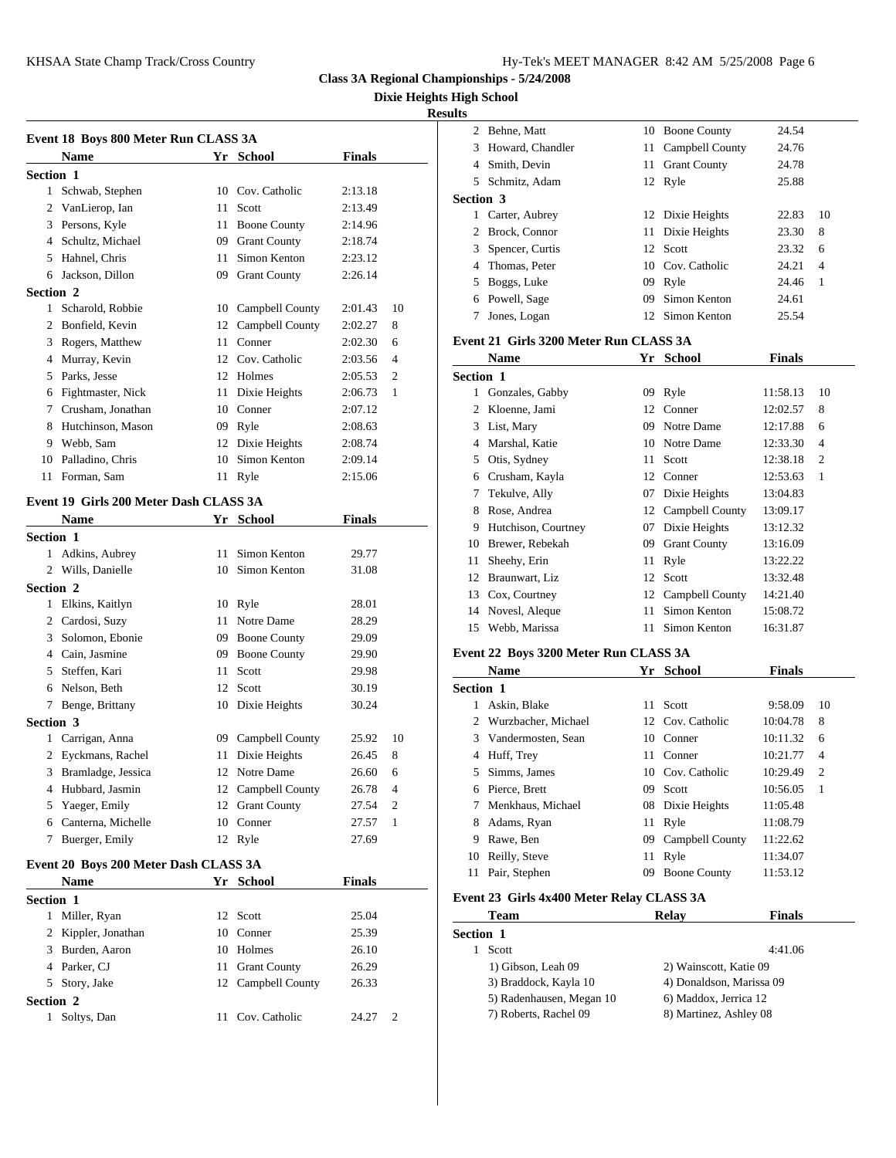**Dixie Heights High School**

## **Resu**

|                  | Event 18 Boys 800 Meter Run CLASS 3A   |                    |               |                | 2              | Behne             |
|------------------|----------------------------------------|--------------------|---------------|----------------|----------------|-------------------|
|                  | <b>Name</b>                            | Yr School          | <b>Finals</b> |                | 3              | Howa              |
| Section 1        |                                        |                    |               |                | 4              | Smith             |
|                  | 1 Schwab, Stephen                      | 10 Cov. Catholic   | 2:13.18       |                | 5              | Schm              |
|                  | 2 VanLierop, Ian                       | 11 Scott           | 2:13.49       |                | Section 3      |                   |
|                  | 3 Persons, Kyle                        | 11 Boone County    | 2:14.96       |                |                | 1 Carter          |
|                  | 4 Schultz, Michael                     | 09 Grant County    | 2:18.74       |                | $\mathfrak{D}$ | <b>Brock</b>      |
|                  | 5 Hahnel, Chris                        | 11 Simon Kenton    | 2:23.12       |                |                | 3 Spenc           |
|                  | 6 Jackson, Dillon                      | 09 Grant County    | 2:26.14       |                |                | 4 Thom            |
| Section 2        |                                        |                    |               |                |                | 5 Boggs           |
|                  | 1 Scharold, Robbie                     | 10 Campbell County | 2:01.43       | 10             | 6              | Powe              |
|                  | 2 Bonfield, Kevin                      | 12 Campbell County | 2:02.27       | 8              | 7              | Jones             |
|                  | 3 Rogers, Matthew                      | 11 Conner          | 2:02.30       | 6              |                | Event 21 G        |
|                  | 4 Murray, Kevin                        | 12 Cov. Catholic   | 2:03.56       | $\overline{4}$ |                | <b>Nam</b>        |
|                  | 5 Parks, Jesse                         | 12 Holmes          | 2:05.53       | 2              | Section 1      |                   |
|                  | 6 Fightmaster, Nick                    | 11 Dixie Heights   | 2:06.73       | $\mathbf{1}$   |                | 1 Gonza           |
|                  | 7 Crusham, Jonathan                    | 10 Conner          | 2:07.12       |                | 2              | Kloer             |
|                  | 8 Hutchinson, Mason                    | 09 Ryle            | 2:08.63       |                |                | 3 List, I         |
|                  | 9 Webb, Sam                            | 12 Dixie Heights   | 2:08.74       |                |                | 4 Marsh           |
|                  | 10 Palladino, Chris                    | 10 Simon Kenton    | 2:09.14       |                |                | 5 Otis,           |
|                  | 11 Forman, Sam                         | 11 Ryle            | 2:15.06       |                |                | 6 Crush           |
|                  |                                        |                    |               |                | $7^{\circ}$    | Tekul             |
|                  | Event 19 Girls 200 Meter Dash CLASS 3A |                    |               |                | 8              | Rose,             |
|                  | Name                                   | Yr School          | <b>Finals</b> |                | 9              | Hutch             |
| <b>Section 1</b> |                                        |                    |               |                |                | 10 Brew           |
|                  | 1 Adkins, Aubrey                       | 11 Simon Kenton    | 29.77         |                | 11             | Sheeh             |
|                  | 2 Wills, Danielle                      | 10 Simon Kenton    | 31.08         |                |                | 12 Braur          |
| Section 2        |                                        |                    |               |                | 13             | Cox,              |
|                  | 1 Elkins, Kaitlyn                      | 10 Ryle            | 28.01         |                | 14             | Nove:             |
|                  | 2 Cardosi, Suzy                        | 11 Notre Dame      | 28.29         |                | 15             | Webb              |
|                  | 3 Solomon, Ebonie                      | 09 Boone County    | 29.09         |                |                |                   |
|                  | 4 Cain, Jasmine                        | 09 Boone County    | 29.90         |                |                | Event 22 B        |
|                  | 5 Steffen, Kari                        | 11 Scott           | 29.98         |                |                | <b>Nam</b>        |
|                  | 6 Nelson, Beth                         | 12 Scott           | 30.19         |                | Section 1      |                   |
|                  | 7 Benge, Brittany                      | 10 Dixie Heights   | 30.24         |                | 1              | Askin             |
| Section 3        |                                        |                    |               |                |                | 2 Wurz            |
|                  | 1 Carrigan, Anna                       | 09 Campbell County | 25.92         | 10             |                | 3 Vand            |
|                  | 2 Eyckmans, Rachel                     | 11 Dixie Heights   | 26.45         | 8              |                | 4 Huff,           |
|                  | 3 Bramladge, Jessica                   | 12 Notre Dame      | 26.60         | 6              |                | 5 Simm            |
|                  | 4 Hubbard, Jasmin                      | 12 Campbell County | 26.78         | $\overline{4}$ |                | 6 Pierce          |
|                  | 5 Yaeger, Emily                        | 12 Grant County    | 27.54         | 2              | 7              | Menk              |
|                  | 6 Canterna, Michelle                   | 10 Conner          | 27.57         | 1              | 8              | Adam              |
|                  | 7 Buerger, Emily                       | 12 Ryle            | 27.69         |                | 9<br>10        | Rawe              |
|                  | Event 20 Boys 200 Meter Dash CLASS 3A  |                    |               |                | 11             | Reilly<br>Pair, : |
|                  |                                        |                    | $172 - 1$     |                |                |                   |

|                  | <b>Name</b>         |     | Yr School           | <b>Finals</b> |               | .         |
|------------------|---------------------|-----|---------------------|---------------|---------------|-----------|
| <b>Section 1</b> |                     |     |                     |               |               | Event 23  |
| 1                | Miller, Ryan        |     | 12 Scott            | 25.04         |               | Tea       |
|                  | 2 Kippler, Jonathan |     | 10 Conner           | 25.39         |               | Section 1 |
|                  | 3 Burden, Aaron     | 10. | Holmes              | 26.10         |               | Scot      |
|                  | 4 Parker, CJ        | 11  | <b>Grant County</b> | 26.29         |               | $1)$ G    |
|                  | 5 Story, Jake       |     | 12 Campbell County  | 26.33         |               | $3)$ B    |
| Section 2        |                     |     |                     |               |               | 5) R      |
|                  | Soltys, Dan         | 11  | Cov. Catholic       | 24.27         | $\mathcal{D}$ | 7) R      |

| ılts             |                                               |    |                           |                     |         |
|------------------|-----------------------------------------------|----|---------------------------|---------------------|---------|
|                  | 2 Behne, Matt                                 |    | 10 Boone County           | 24.54               |         |
|                  | 3 Howard, Chandler                            | 11 | Campbell County           | 24.76               |         |
|                  | 4 Smith, Devin                                |    | 11 Grant County           | 24.78               |         |
|                  | 5 Schmitz, Adam                               |    | 12 Ryle                   | 25.88               |         |
| <b>Section 3</b> |                                               |    |                           |                     |         |
|                  | 1 Carter, Aubrey                              |    | 12 Dixie Heights          | 22.83               | 10      |
|                  | 2 Brock, Connor                               |    | 11 Dixie Heights          | 23.30               | 8       |
| 3                | Spencer, Curtis                               |    | 12 Scott                  | 23.32               | 6       |
|                  | 4 Thomas, Peter                               |    | 10 Cov. Catholic          | 24.21               | 4       |
|                  | 5 Boggs, Luke                                 |    | 09 Ryle                   | 24.46               | 1       |
|                  | 6 Powell, Sage                                |    | 09 Simon Kenton           | 24.61               |         |
| 7                | Jones, Logan                                  |    | 12 Simon Kenton           | 25.54               |         |
|                  | Event 21 Girls 3200 Meter Run CLASS 3A        |    |                           |                     |         |
|                  | <b>Name</b>                                   |    | Yr School                 | Finals              |         |
| <b>Section 1</b> |                                               |    |                           |                     |         |
|                  | 1 Gonzales, Gabby                             |    | 09 Ryle                   | 11:58.13            | 10      |
|                  | 2 Kloenne, Jami                               |    | 12 Conner                 | 12:02.57            | 8       |
|                  | 3 List, Mary                                  |    | 09 Notre Dame             | 12:17.88            | 6       |
|                  | 4 Marshal, Katie                              |    | 10 Notre Dame             | 12:33.30            | 4       |
|                  | 5 Otis, Sydney                                | 11 | Scott                     | 12:38.18            | 2       |
|                  | 6 Crusham, Kayla                              |    | 12 Conner                 | 12:53.63            | 1       |
| 7                | Tekulve, Ally                                 |    | 07 Dixie Heights          | 13:04.83            |         |
|                  | 8 Rose, Andrea                                |    | 12 Campbell County        | 13:09.17            |         |
|                  | 9 Hutchison, Courtney                         |    | 07 Dixie Heights          | 13:12.32            |         |
|                  | 10 Brewer, Rebekah                            |    | 09 Grant County           | 13:16.09            |         |
| 11               | Sheehy, Erin                                  |    | 11 Ryle                   | 13:22.22            |         |
|                  | 12 Braunwart, Liz                             |    | 12 Scott                  | 13:32.48            |         |
|                  | 13 Cox, Courtney                              |    | 12 Campbell County        | 14:21.40            |         |
|                  | 14 Novesl, Aleque                             |    | 11 Simon Kenton           | 15:08.72            |         |
|                  | 15 Webb, Marissa                              |    | 11 Simon Kenton           | 16:31.87            |         |
|                  |                                               |    |                           |                     |         |
|                  | Event 22 Boys 3200 Meter Run CLASS 3A<br>Name |    | Yr School                 | Finals              |         |
| Section 1        |                                               |    |                           |                     |         |
|                  |                                               | 11 |                           |                     |         |
|                  | 1 Askin, Blake<br>2 Wurzbacher, Michael       |    | Scott<br>12 Cov. Catholic | 9:58.09<br>10:04.78 | 10<br>8 |
|                  | 3 Vandermosten, Sean                          | 10 | Conner                    | 10:11.32            | 6       |
| 4                | Huff, Trey                                    | 11 | Conner                    | 10:21.77            | 4       |
| 5                | Simms, James                                  |    | 10 Cov. Catholic          | 10:29.49            | 2       |
|                  | 6 Pierce, Brett                               | 09 | Scott                     | 10:56.05            | 1       |
| 7                | Menkhaus, Michael                             | 08 | Dixie Heights             | 11:05.48            |         |
|                  | 8 Adams, Ryan                                 | 11 | Ryle                      | 11:08.79            |         |
| 9.               | Rawe, Ben                                     |    | 09 Campbell County        | 11:22.62            |         |
| 10               | Reilly, Steve                                 | 11 | Ryle                      | 11:34.07            |         |
| 11               | Pair, Stephen                                 | 09 | <b>Boone County</b>       | 11:53.12            |         |
|                  |                                               |    |                           |                     |         |
|                  | Event 23 Girls 4x400 Meter Relay CLASS 3A     |    |                           |                     |         |
|                  | Team                                          |    | Relay                     | <b>Finals</b>       |         |
| <b>Section 1</b> |                                               |    |                           |                     |         |
|                  | 1 Scott                                       |    |                           | 4:41.06             |         |
|                  | 1) Gibson, Leah 09                            |    | 2) Wainscott, Katie 09    |                     |         |
|                  | 3) Braddock, Kayla 10                         |    | 4) Donaldson, Marissa 09  |                     |         |
|                  | 5) Radenhausen, Megan 10                      |    | 6) Maddox, Jerrica 12     |                     |         |
|                  | 7) Roberts, Rachel 09                         |    | 8) Martinez, Ashley 08    |                     |         |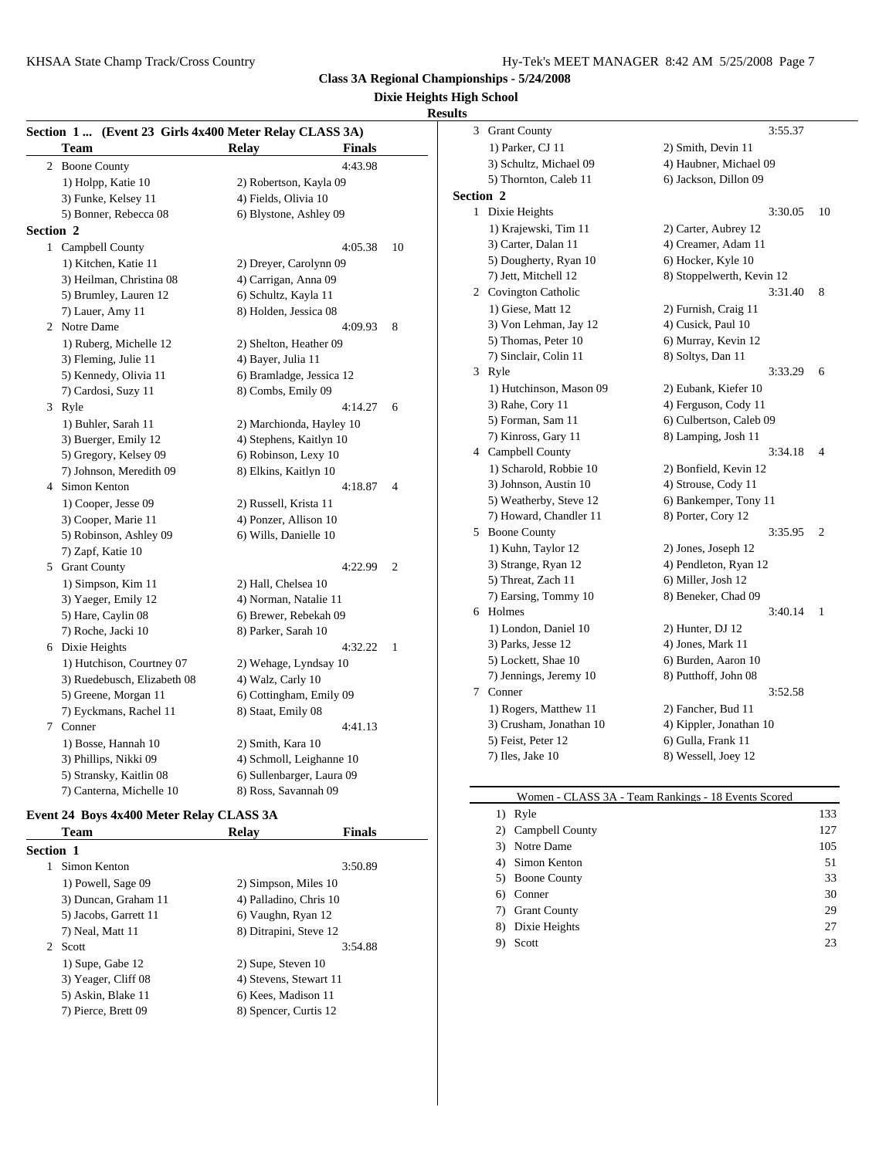#### **Dixie Heights High School**

#### **Results**

|                  | Section 1  (Event 23 Girls 4x400 Meter Relay CLASS 3A) |                               |                | 3<br>Grant       |
|------------------|--------------------------------------------------------|-------------------------------|----------------|------------------|
|                  | Team                                                   | <b>Relay</b><br><b>Finals</b> |                | $1)$ Par         |
|                  | 2 Boone County                                         | 4:43.98                       |                | 3) Scl           |
|                  | 1) Holpp, Katie 10                                     | 2) Robertson, Kayla 09        |                | $5)$ Th          |
|                  | 3) Funke, Kelsey 11                                    | 4) Fields, Olivia 10          |                | Section 2        |
|                  | 5) Bonner, Rebecca 08                                  | 6) Blystone, Ashley 09        |                | 1 Dixie          |
| <b>Section 2</b> |                                                        |                               |                | $1)$ Kr          |
|                  | 1 Campbell County                                      | 4:05.38                       | 10             | 3) Ca            |
|                  | 1) Kitchen, Katie 11                                   | 2) Dreyer, Carolynn 09        |                | 5) Do            |
|                  | 3) Heilman, Christina 08                               | 4) Carrigan, Anna 09          |                | 7) Jet           |
|                  | 5) Brumley, Lauren 12                                  | 6) Schultz, Kayla 11          |                | 2 Covir          |
|                  | 7) Lauer, Amy 11                                       | 8) Holden, Jessica 08         |                | $1)$ Gio         |
|                  | 2 Notre Dame                                           | 4:09.93                       | 8              | $3)$ Vo          |
|                  | 1) Ruberg, Michelle 12                                 | 2) Shelton, Heather 09        |                | $5)$ Th          |
|                  | 3) Fleming, Julie 11                                   | 4) Bayer, Julia 11            |                | 7) Sin           |
|                  | 5) Kennedy, Olivia 11                                  | 6) Bramladge, Jessica 12      |                | 3 Ryle           |
|                  | 7) Cardosi, Suzy 11                                    | 8) Combs, Emily 09            |                | 1) Hu            |
|                  | 3 Ryle                                                 | 4:14.27                       | 6              | 3) Ral           |
|                  | 1) Buhler, Sarah 11                                    | 2) Marchionda, Hayley 10      |                | 5) Foi           |
|                  | 3) Buerger, Emily 12                                   | 4) Stephens, Kaitlyn 10       |                | 7) Kii           |
|                  | 5) Gregory, Kelsey 09                                  | 6) Robinson, Lexy 10          |                | 4 Camp           |
|                  | 7) Johnson, Meredith 09                                | 8) Elkins, Kaitlyn 10         |                | $1)$ Scl         |
|                  | 4 Simon Kenton                                         | 4:18.87                       | $\overline{4}$ | 3) Joh           |
|                  | 1) Cooper, Jesse 09                                    | 2) Russell, Krista 11         |                | 5) We            |
|                  | 3) Cooper, Marie 11                                    | 4) Ponzer, Allison 10         |                | 7) Ho            |
|                  | 5) Robinson, Ashley 09                                 | 6) Wills, Danielle 10         |                | 5<br><b>Boon</b> |
|                  | 7) Zapf, Katie 10                                      |                               |                | 1) Ku            |
|                  | 5 Grant County                                         | 4:22.99                       | $\overline{2}$ | 3) Str           |
|                  | 1) Simpson, Kim 11                                     | 2) Hall, Chelsea 10           |                | 5) Th:           |
|                  | 3) Yaeger, Emily 12                                    | 4) Norman, Natalie 11         |                | 7) Ear           |
|                  | 5) Hare, Caylin 08                                     | 6) Brewer, Rebekah 09         |                | 6 Holm           |
|                  | 7) Roche, Jacki 10                                     | 8) Parker, Sarah 10           |                | $1)$ Lo          |
|                  | 6 Dixie Heights                                        | 4:32.22                       | 1              | 3) Par           |
|                  | 1) Hutchison, Courtney 07                              | 2) Wehage, Lyndsay 10         |                | $5)$ Lo          |
|                  | 3) Ruedebusch, Elizabeth 08                            | 4) Walz, Carly 10             |                | 7) Jen           |
|                  | 5) Greene, Morgan 11                                   | 6) Cottingham, Emily 09       |                | 7<br>Conne       |
|                  | 7) Eyckmans, Rachel 11                                 | 8) Staat, Emily 08            |                | 1) Ro            |
|                  | 7 Conner                                               | 4:41.13                       |                | $3)$ Cru         |
|                  | 1) Bosse, Hannah 10                                    | 2) Smith, Kara 10             |                | 5) Fei           |
|                  | 3) Phillips, Nikki 09                                  | 4) Schmoll, Leighanne 10      |                | 7) Iles          |
|                  | 5) Stransky, Kaitlin 08                                | 6) Sullenbarger, Laura 09     |                |                  |
|                  | 7) Canterna, Michelle 10                               | 8) Ross, Savannah 09          |                |                  |

#### **Event 24 Boys 4x400 Meter Relay CLASS 3A**

| <b>Team</b>           | <b>Relav</b>           | <b>Finals</b> |
|-----------------------|------------------------|---------------|
| Section 1             |                        |               |
| Simon Kenton          |                        | 3:50.89       |
| 1) Powell, Sage 09    | 2) Simpson, Miles 10   |               |
| 3) Duncan, Graham 11  | 4) Palladino, Chris 10 |               |
| 5) Jacobs, Garrett 11 | 6) Vaughn, Ryan 12     |               |
| 7) Neal, Matt 11      | 8) Ditrapini, Steve 12 |               |
| 2 Scott               |                        | 3:54.88       |
| 1) Supe, Gabe 12      | 2) Supe, Steven 10     |               |
| 3) Yeager, Cliff 08   | 4) Stevens, Stewart 11 |               |
| 5) Askin, Blake 11    | 6) Kees, Madison 11    |               |
| 7) Pierce, Brett 09   | 8) Spencer, Curtis 12  |               |
|                       |                        |               |

| 3         | <b>Grant County</b>     | 3:55.37                   |
|-----------|-------------------------|---------------------------|
|           | 1) Parker, CJ 11        | 2) Smith, Devin 11        |
|           | 3) Schultz, Michael 09  | 4) Haubner, Michael 09    |
|           | 5) Thornton, Caleb 11   | 6) Jackson, Dillon 09     |
| Section 2 |                         |                           |
|           | 1 Dixie Heights         | 3:30.05<br>10             |
|           | 1) Krajewski, Tim 11    | 2) Carter, Aubrey 12      |
|           | 3) Carter, Dalan 11     | 4) Creamer, Adam 11       |
|           | 5) Dougherty, Ryan 10   | 6) Hocker, Kyle 10        |
|           | 7) Jett, Mitchell 12    | 8) Stoppelwerth, Kevin 12 |
|           | 2 Covington Catholic    | 3:31.40<br>8              |
|           | 1) Giese, Matt 12       | 2) Furnish, Craig 11      |
|           | 3) Von Lehman, Jay 12   | 4) Cusick, Paul 10        |
|           | 5) Thomas, Peter 10     | 6) Murray, Kevin 12       |
|           | 7) Sinclair, Colin 11   | 8) Soltys, Dan 11         |
|           | 3 Ryle                  | 3:33.29<br>6              |
|           | 1) Hutchinson, Mason 09 | 2) Eubank, Kiefer 10      |
|           | 3) Rahe, Cory 11        | 4) Ferguson, Cody 11      |
|           | 5) Forman, Sam 11       | 6) Culbertson, Caleb 09   |
|           | 7) Kinross, Gary 11     | 8) Lamping, Josh 11       |
|           | 4 Campbell County       | 3:34.18<br>4              |
|           | 1) Scharold, Robbie 10  | 2) Bonfield, Kevin 12     |
|           | 3) Johnson, Austin 10   | 4) Strouse, Cody 11       |
|           | 5) Weatherby, Steve 12  | 6) Bankemper, Tony 11     |
|           | 7) Howard, Chandler 11  | 8) Porter, Cory 12        |
|           | 5 Boone County          | 3:35.95<br>2              |
|           | 1) Kuhn, Taylor 12      | 2) Jones, Joseph 12       |
|           | 3) Strange, Ryan 12     | 4) Pendleton, Ryan 12     |
|           | 5) Threat, Zach 11      | 6) Miller, Josh 12        |
|           | 7) Earsing, Tommy 10    | 8) Beneker, Chad 09       |
|           | 6 Holmes                | 3:40.14<br>1              |
|           | 1) London, Daniel 10    | 2) Hunter, DJ 12          |
|           | 3) Parks, Jesse 12      | 4) Jones, Mark 11         |
|           | 5) Lockett, Shae 10     | 6) Burden, Aaron 10       |
|           | 7) Jennings, Jeremy 10  | 8) Putthoff, John 08      |
| 7         | Conner                  | 3:52.58                   |
|           | 1) Rogers, Matthew 11   | 2) Fancher, Bud 11        |
|           | 3) Crusham, Jonathan 10 | 4) Kippler, Jonathan 10   |
|           | 5) Feist, Peter 12      | 6) Gulla, Frank 11        |
|           | 7) Iles, Jake 10        | 8) Wessell, Joey 12       |

| Women - CLASS 3A - Team Rankings - 18 Events Scored |                     |     |
|-----------------------------------------------------|---------------------|-----|
|                                                     | 1) Ryle             | 133 |
|                                                     | 2) Campbell County  | 127 |
| 3)                                                  | Notre Dame          | 105 |
|                                                     | 4) Simon Kenton     | 51  |
|                                                     | 5) Boone County     | 33  |
| 6)                                                  | Conner              | 30  |
| 7)                                                  | <b>Grant County</b> | 29  |
| 8)                                                  | Dixie Heights       | 27  |
| 9)                                                  | Scott               | 23  |